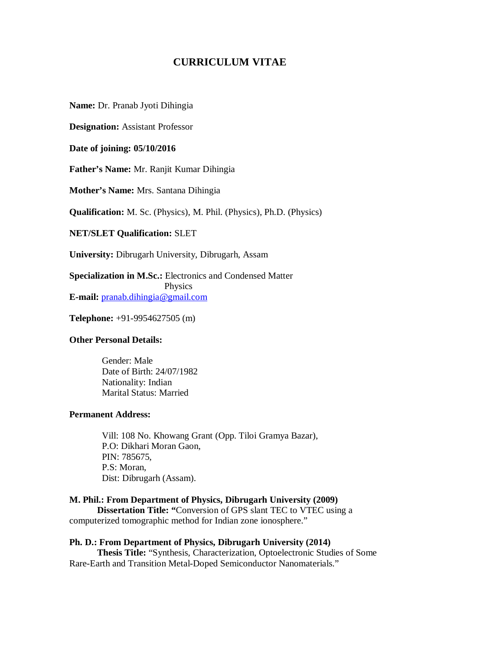# **CURRICULUM VITAE**

**Name:** Dr. Pranab Jyoti Dihingia

**Designation:** Assistant Professor

**Date of joining: 05/10/2016**

**Father's Name:** Mr. Ranjit Kumar Dihingia

**Mother's Name:** Mrs. Santana Dihingia

**Qualification:** M. Sc. (Physics), M. Phil. (Physics), Ph.D. (Physics)

**NET/SLET Qualification:** SLET

**University:** Dibrugarh University, Dibrugarh, Assam

**Specialization in M.Sc.:** Electronics and Condensed Matter Physics **E-mail:** pranab.dihingia@gmail.com

**Telephone:** +91-9954627505 (m)

### **Other Personal Details:**

 Gender: Male Date of Birth: 24/07/1982 Nationality: Indian Marital Status: Married

### **Permanent Address:**

 Vill: 108 No. Khowang Grant (Opp. Tiloi Gramya Bazar), P.O: Dikhari Moran Gaon, PIN: 785675, P.S: Moran, Dist: Dibrugarh (Assam).

### **M. Phil.: From Department of Physics, Dibrugarh University (2009)**

**Dissertation Title: "**Conversion of GPS slant TEC to VTEC using a computerized tomographic method for Indian zone ionosphere."

**Ph. D.: From Department of Physics, Dibrugarh University (2014) Thesis Title:** "Synthesis, Characterization, Optoelectronic Studies of Some Rare-Earth and Transition Metal-Doped Semiconductor Nanomaterials."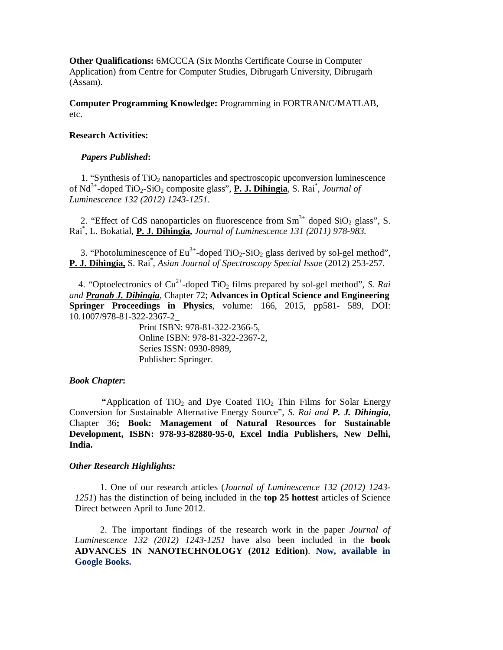**Other Qualifications:** 6MCCCA (Six Months Certificate Course in Computer Application) from Centre for Computer Studies, Dibrugarh University, Dibrugarh (Assam).

**Computer Programming Knowledge:** Programming in FORTRAN/C/MATLAB, etc.

### **Research Activities:**

### *Papers Published***:**

1. "Synthesis of  $TiO<sub>2</sub>$  nanoparticles and spectroscopic upconversion luminescence of Nd<sup>3+</sup>-doped TiO<sub>2</sub>-SiO<sub>2</sub> composite glass", **P. J. Dihingia**, S. Rai<sup>\*</sup>, *Journal of Luminescence 132 (2012) 1243-1251*.

2. "Effect of CdS nanoparticles on fluorescence from  $Sm^{3+}$  doped SiO<sub>2</sub> glass", S. Rai\* , L. Bokatial, **P. J. Dihingia,** *Journal of Luminescence 131 (2011) 978-983.*

3. "Photoluminescence of  $Eu^{3+}$ -doped  $TiO_2-SiO_2$  glass derived by sol-gel method", **P. J. Dihingia,** S. Rai\* , *Asian Journal of Spectroscopy Special Issue* (2012) 253-257.

4. "Optoelectronics of Cu<sup>2+</sup>-doped TiO<sub>2</sub> films prepared by sol-gel method", *S. Rai and Pranab J. Dihingia*, Chapter 72; **Advances in Optical Science and Engineering Springer Proceedings in Physics**, volume: 166, 2015, pp581- 589, DOI: 10.1007/978-81-322-2367-2\_

> Print ISBN: 978-81-322-2366-5, Online ISBN: 978-81-322-2367-2, Series ISSN: 0930-8989, Publisher: Springer.

### *Book Chapter***:**

**"Application of TiO<sub>2</sub> and Dye Coated TiO<sub>2</sub> Thin Films for Solar Energy** Conversion for Sustainable Alternative Energy Source", *S. Rai and P. J. Dihingia*, Chapter 36**; Book: Management of Natural Resources for Sustainable Development, ISBN: 978-93-82880-95-0, Excel India Publishers, New Delhi, India.**

#### *Other Research Highlights:*

1. One of our research articles (*Journal of Luminescence 132 (2012) 1243- 1251*) has the distinction of being included in the **top 25 hottest** articles of Science Direct between April to June 2012.

 2. The important findings of the research work in the paper *Journal of Luminescence 132 (2012) 1243-1251* have also been included in the **book ADVANCES IN NANOTECHNOLOGY (2012 Edition)**. **Now, available in Google Books.**